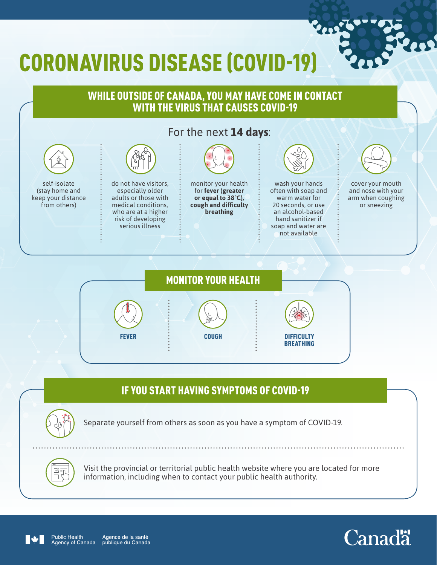# CORONAVIRUS DISEASE (COVID-19)

#### WHILE OUTSIDE OF CANADA, YOU MAY HAVE COME IN CONTACT WITH THE VIRUS THAT CAUSES COVID-19 For the next **14 days**: self-isolate (stay home and keep your distance from others) do not have visitors, especially older adults or those with medical conditions, who are at a higher risk of developing serious illness monitor your health for **fever (greater or equal to 38°C), cough and difficulty breathing** wash your hands often with soap and warm water for 20 seconds, or use an alcohol-based hand sanitizer if soap and water are not available cover your mouth and nose with your arm when coughing or sneezing



### IF YOU START HAVING SYMPTOMS OF COVID-19



Separate yourself from others as soon as you have a symptom of COVID-19.



Visit the provincial or territorial public health website where you are located for more information, including when to contact your public health authority.